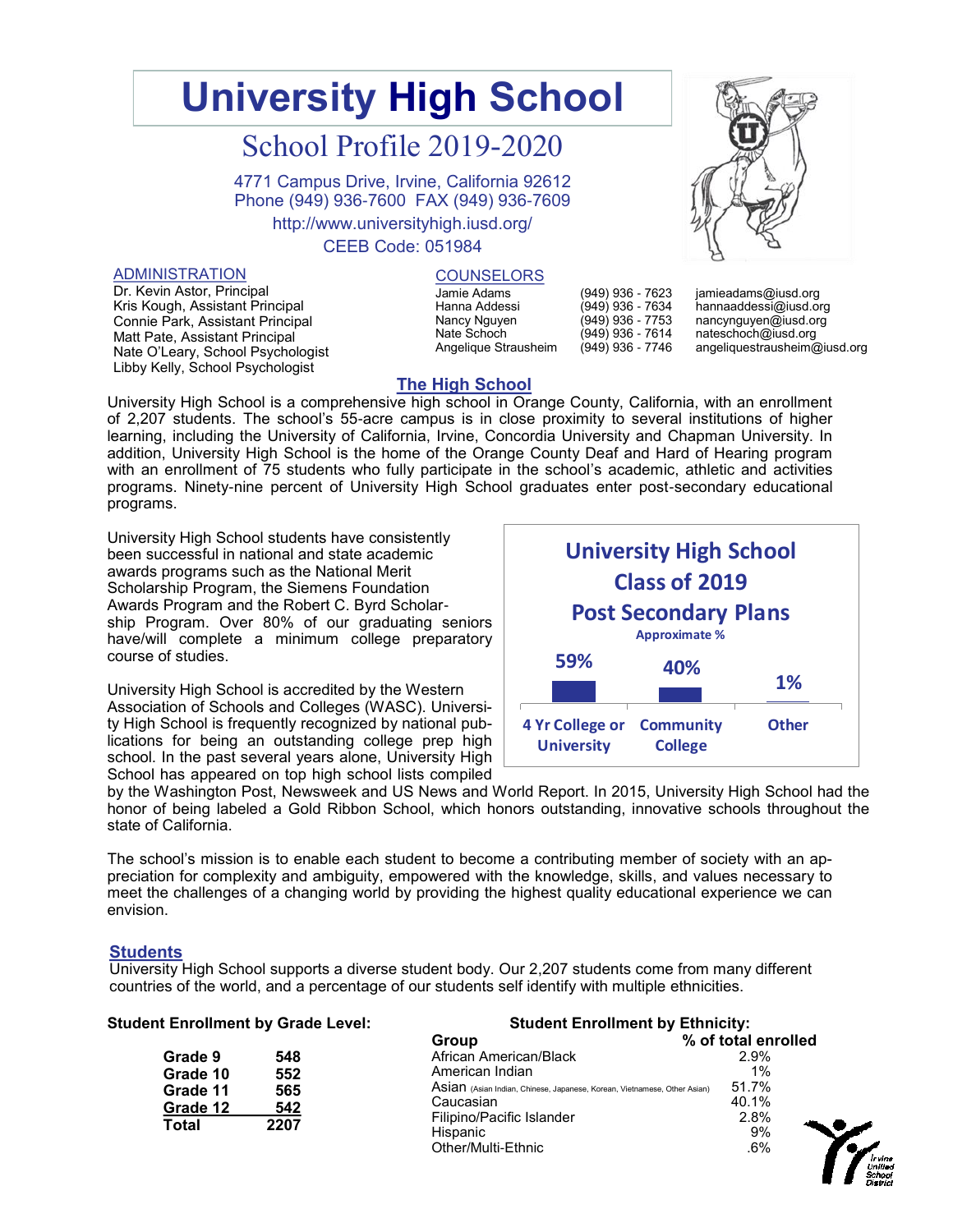# **University High School**

## School Profile 2019-2020

4771 Campus Drive, Irvine, California 92612 Phone (949) 936-7600 FAX (949) 936-7609

http://www.universityhigh.iusd.org/

## CEEB Code: 051984

#### ADMINISTRATION

Dr. Kevin Astor, Principal Kris Kough, Assistant Principal Connie Park, Assistant Principal Matt Pate, Assistant Principal Nate O'Leary, School Psychologist Libby Kelly, School Psychologist

### **COUNSELORS**

Jamie Adams Hanna Addessi Nancy Nguyen Nate Schoch Angelique Strausheim

(949) 936 - 7623 (949) 936 - 7634 (949) 936 - 7753 (949) 936 - 7614 (949) 936 - 7746

jamieadams@iusd.org hannaaddessi@iusd.org nancynguyen@iusd.org nateschoch@iusd.org angeliquestrausheim@iusd.org

## **The High School**

University High School is a comprehensive high school in Orange County, California, with an enrollment of 2,207 students. The school's 55-acre campus is in close proximity to several institutions of higher learning, including the University of California, Irvine, Concordia University and Chapman University. In addition, University High School is the home of the Orange County Deaf and Hard of Hearing program with an enrollment of 75 students who fully participate in the school's academic, athletic and activities programs. Ninety-nine percent of University High School graduates enter post-secondary educational programs.

University High School students have consistently been successful in national and state academic awards programs such as the National Merit Scholarship Program, the Siemens Foundation Awards Program and the Robert C. Byrd Scholarship Program. Over 80% of our graduating seniors have/will complete a minimum college preparatory course of studies.

University High School is accredited by the Western Association of Schools and Colleges (WASC). University High School is frequently recognized by national publications for being an outstanding college prep high school. In the past several years alone, University High School has appeared on top high school lists compiled



by the Washington Post, Newsweek and US News and World Report. In 2015, University High School had the honor of being labeled a Gold Ribbon School, which honors outstanding, innovative schools throughout the state of California.

The school's mission is to enable each student to become a contributing member of society with an appreciation for complexity and ambiguity, empowered with the knowledge, skills, and values necessary to meet the challenges of a changing world by providing the highest quality educational experience we can envision.

#### **Students**

University High School supports a diverse student body. Our 2,207 students come from many different countries of the world, and a percentage of our students self identify with multiple ethnicities.

| <b>Student Enrollment by Grade Level:</b> |      | <b>Student Enrollment by Ethnicity:</b>                                  |                     |  |  |
|-------------------------------------------|------|--------------------------------------------------------------------------|---------------------|--|--|
|                                           |      | Group                                                                    | % of total enrolled |  |  |
| Grade 9                                   | 548  | African American/Black                                                   | 2.9%                |  |  |
| Grade 10                                  | 552  | American Indian                                                          | 1%                  |  |  |
| Grade 11                                  | 565  | Asian (Asian Indian, Chinese, Japanese, Korean, Vietnamese, Other Asian) | 51.7%               |  |  |
| Grade 12                                  | 542  | Caucasian                                                                | 40.1%               |  |  |
| Total                                     | 2207 | Filipino/Pacific Islander                                                | 2.8%                |  |  |
|                                           |      | Hispanic                                                                 | 9%                  |  |  |
|                                           |      | Other/Multi-Ethnic                                                       | .6%                 |  |  |

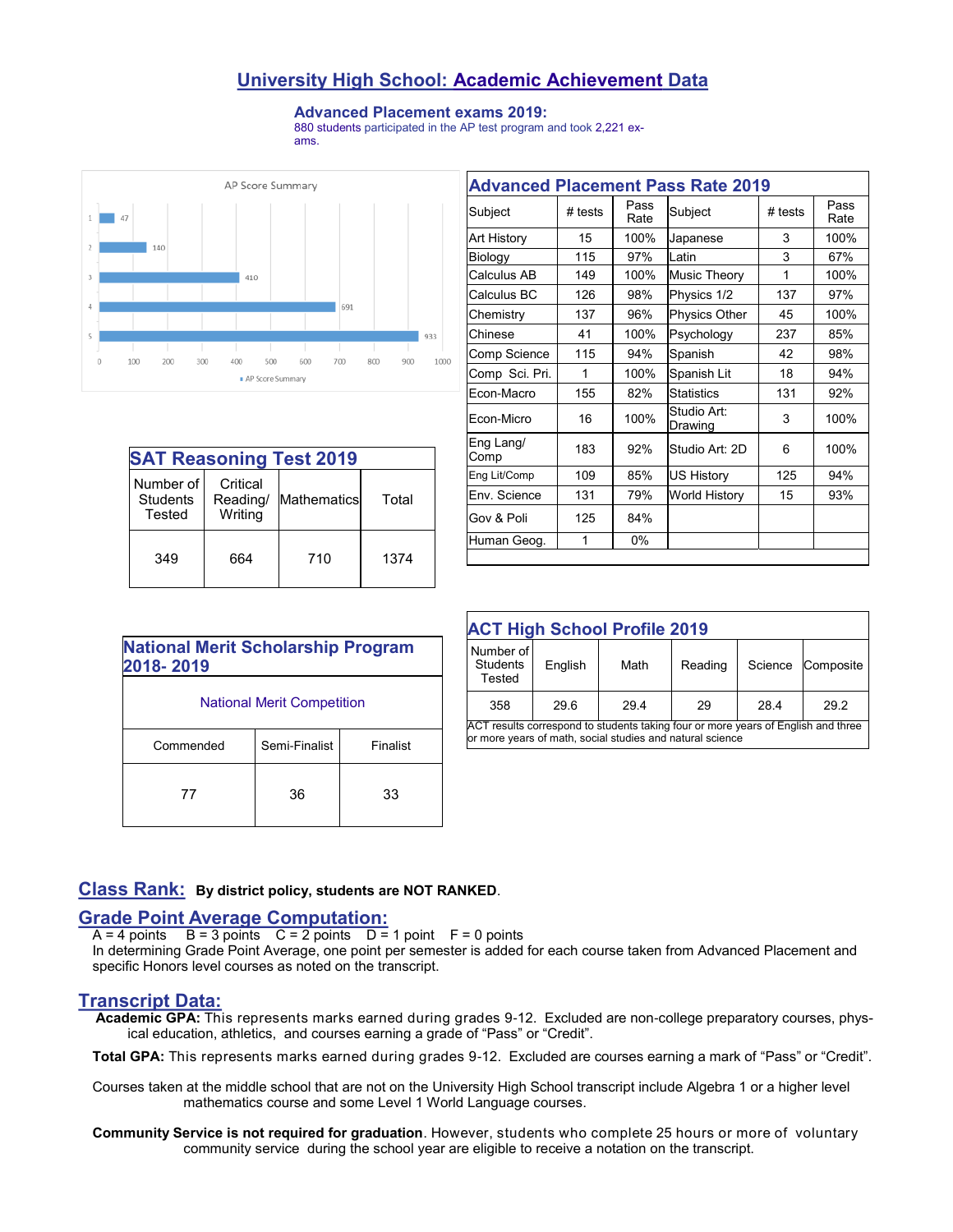## **University High School: Academic Achievement Data**

#### **Advanced Placement exams 2019:**

880 students participated in the AP test program and took 2,221 exams.



| <b>SAT Reasoning Test 2019</b>  |                                 |              |       |  |  |
|---------------------------------|---------------------------------|--------------|-------|--|--|
| Number of<br>Students<br>Tested | Critical<br>Reading/<br>Writing | Mathematicsl | Total |  |  |
| 349                             | 664                             | 710          | 1374  |  |  |

| <b>Advanced Placement Pass Rate 2019</b> |         |              |                        |           |              |
|------------------------------------------|---------|--------------|------------------------|-----------|--------------|
| Subject                                  | # tests | Pass<br>Rate | Subject                | $#$ tests | Pass<br>Rate |
| Art History                              | 15      | 100%         | Japanese               | 3         | 100%         |
| Biology                                  | 115     | 97%          | Latin                  | 3         | 67%          |
| Calculus AB                              | 149     | 100%         | <b>Music Theory</b>    | 1         | 100%         |
| Calculus BC                              | 126     | 98%          | Physics 1/2            | 137       | 97%          |
| Chemistry                                | 137     | 96%          | Physics Other          | 45        | 100%         |
| Chinese                                  | 41      | 100%         | Psychology             | 237       | 85%          |
| Comp Science                             | 115     | 94%          | Spanish                | 42        | 98%          |
| Comp Sci. Pri.                           | 1       | 100%         | Spanish Lit            | 18        | 94%          |
| Econ-Macro                               | 155     | 82%          | <b>Statistics</b>      | 131       | 92%          |
| Econ-Micro                               | 16      | 100%         | Studio Art:<br>Drawing | 3         | 100%         |
| Eng Lang/<br>Comp                        | 183     | 92%          | Studio Art: 2D         | 6         | 100%         |
| Eng Lit/Comp                             | 109     | 85%          | <b>US History</b>      | 125       | 94%          |
| Env. Science                             | 131     | 79%          | <b>World History</b>   | 15        | 93%          |
| Gov & Poli                               | 125     | 84%          |                        |           |              |
| Human Geog.                              | 1       | 0%           |                        |           |              |

| <b>National Merit Scholarship Program</b><br>2018-2019 |               |          |  |  |
|--------------------------------------------------------|---------------|----------|--|--|
| <b>National Merit Competition</b>                      |               |          |  |  |
| Commended                                              | Semi-Finalist | Finalist |  |  |
|                                                        | 36            | 33       |  |  |

| <b>ACT High School Profile 2019</b>                                                                                                            |         |      |         |         |           |  |
|------------------------------------------------------------------------------------------------------------------------------------------------|---------|------|---------|---------|-----------|--|
| Number of<br><b>Students</b><br>Tested                                                                                                         | English | Math | Reading | Science | Composite |  |
| 358                                                                                                                                            | 29.6    | 29.4 | 29      | 28.4    | 29.2      |  |
| ACT results correspond to students taking four or more years of English and three<br>or more years of math, social studies and natural science |         |      |         |         |           |  |

## **Class Rank: By district policy, students are NOT RANKED**.

## **Grade Point Average Computation:**

 $A = 4$  points  $B = 3$  points  $C = 2$  points  $D = 1$  point  $F = 0$  points

In determining Grade Point Average, one point per semester is added for each course taken from Advanced Placement and specific Honors level courses as noted on the transcript.

#### **Transcript Data:**

 **Academic GPA:** This represents marks earned during grades 9-12. Excluded are non-college preparatory courses, physical education, athletics, and courses earning a grade of "Pass" or "Credit".

**Total GPA:** This represents marks earned during grades 9-12. Excluded are courses earning a mark of "Pass" or "Credit".

Courses taken at the middle school that are not on the University High School transcript include Algebra 1 or a higher level mathematics course and some Level 1 World Language courses.

**Community Service is not required for graduation**. However, students who complete 25 hours or more of voluntary community service during the school year are eligible to receive a notation on the transcript.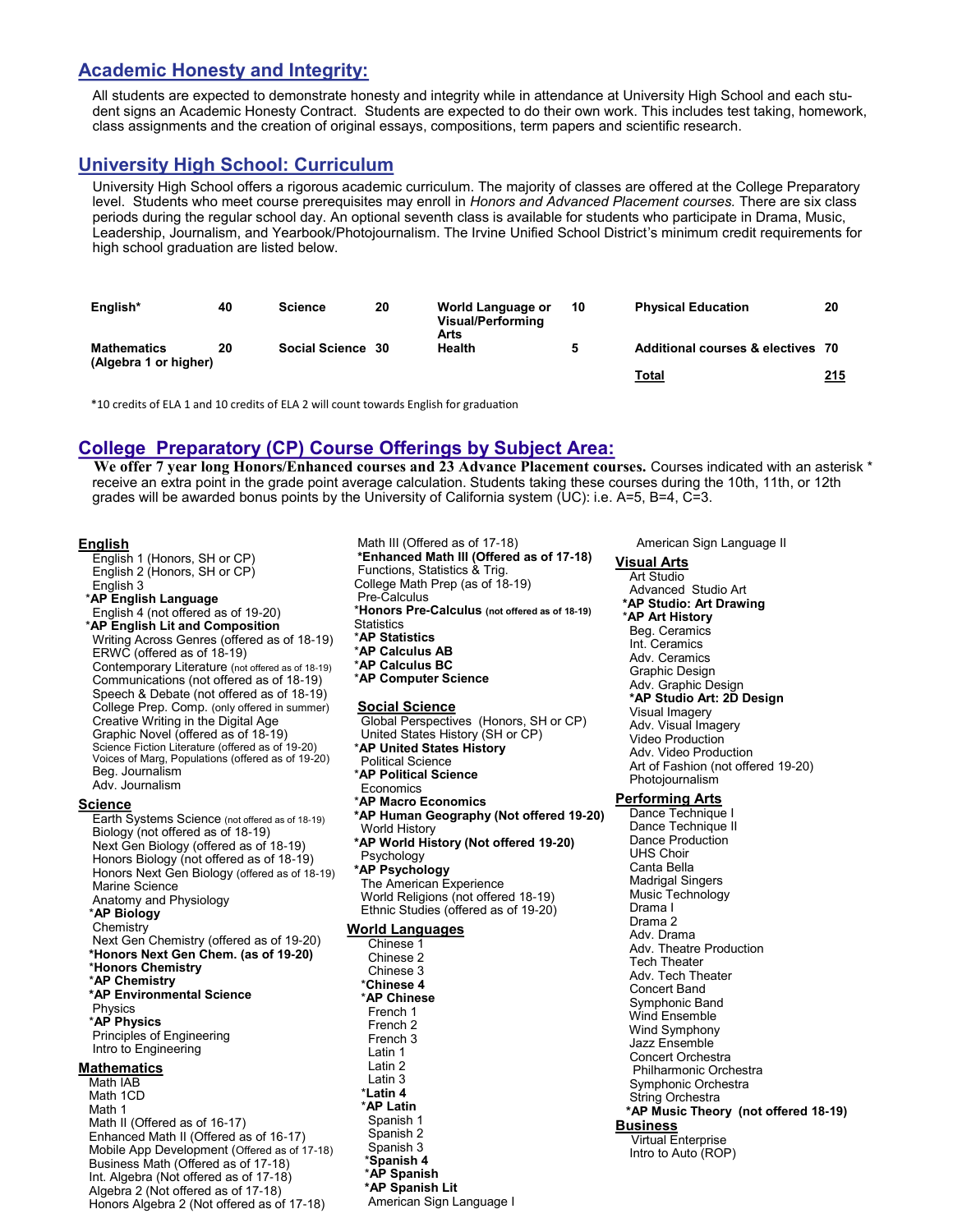## **Academic Honesty and Integrity:**

All students are expected to demonstrate honesty and integrity while in attendance at University High School and each student signs an Academic Honesty Contract. Students are expected to do their own work. This includes test taking, homework, class assignments and the creation of original essays, compositions, term papers and scientific research.

## **University High School: Curriculum**

University High School offers a rigorous academic curriculum. The majority of classes are offered at the College Preparatory level. Students who meet course prerequisites may enroll in *Honors and Advanced Placement courses.* There are six class periods during the regular school day. An optional seventh class is available for students who participate in Drama, Music, Leadership, Journalism, and Yearbook/Photojournalism. The Irvine Unified School District's minimum credit requirements for high school graduation are listed below.

| English*                                    | 40 | <b>Science</b>    | 20 | World Language or<br>Visual/Performing<br>Arts | 10 | <b>Physical Education</b>         | 20  |
|---------------------------------------------|----|-------------------|----|------------------------------------------------|----|-----------------------------------|-----|
| <b>Mathematics</b><br>(Algebra 1 or higher) | 20 | Social Science 30 |    | Health                                         |    | Additional courses & electives 70 |     |
|                                             |    |                   |    |                                                |    | Total                             | 215 |

\*10 credits of ELA 1 and 10 credits of ELA 2 will count towards English for graduation

## **College Preparatory (CP) Course Offerings by Subject Area:**

**We offer 7 year long Honors/Enhanced courses and 23 Advance Placement courses.** Courses indicated with an asterisk \* receive an extra point in the grade point average calculation. Students taking these courses during the 10th, 11th, or 12th grades will be awarded bonus points by the University of California system (UC): i.e. A=5, B=4, C=3.

#### **English**

English 1 (Honors, SH or CP) English 2 (Honors, SH or CP) English 3 \***AP English Language** English 4 (not offered as of 19-20) \***AP English Lit and Composition** Writing Across Genres (offered as of 18-19) ERWC (offered as of 18-19) Contemporary Literature (not offered as of 18-19) Communications (not offered as of 18-19) Speech & Debate (not offered as of 18-19) College Prep. Comp. (only offered in summer) Creative Writing in the Digital Age Graphic Novel (offered as of 18-19) Science Fiction Literature (offered as of 19-20) Voices of Marg, Populations (offered as of 19-20) Beg. Journalism Adv. Journalism **Science** Earth Systems Science (not offered as of 18-19) Biology (not offered as of 18-19) Next Gen Biology (offered as of 18-19) Honors Biology (not offered as of 18-19) Honors Next Gen Biology (offered as of 18-19) Marine Science Anatomy and Physiology \***AP Biology** Chemistry Next Gen Chemistry (offered as of 19-20) **\*Honors Next Gen Chem. (as of 19-20)** \***Honors Chemistry** \***AP Chemistry \*AP Environmental Science** Physics \***AP Physics** Principles of Engineering Intro to Engineering **Mathematics** Math IAB Math 1CD Math 1 Math II (Offered as of 16-17) Enhanced Math II (Offered as of 16-17) Mobile App Development (Offered as of 17-18) Business Math (Offered as of 17-18) Int. Algebra (Not offered as of 17-18)

Algebra 2 (Not offered as of 17-18) Honors Algebra 2 (Not offered as of 17-18)

Math III (Offered as of 17-18) **\*Enhanced Math III (Offered as of 17-18)** Functions, Statistics & Trig. College Math Prep (as of 18-19) Pre-Calculus \***Honors Pre-Calculus (not offered as of 18-19) Statistics** \***AP Statistics** \***AP Calculus AB** \***AP Calculus BC** \***AP Computer Science Social Science**

Global Perspectives (Honors, SH or CP) United States History (SH or CP) \***AP United States History** Political Science \***AP Political Science** Economics \***AP Macro Economics \*AP Human Geography (Not offered 19-20)** World History **\*AP World History (Not offered 19-20)** Psychology **\*AP Psychology** The American Experience World Religions (not offered 18-19) Ethnic Studies (offered as of 19-20) **World Languages** Chinese 1

Chinese 2 Chinese 3 \***Chinese 4**  \***AP Chinese** French 1 French 2 French 3 Latin 1 Latin 2 Latin 3 \***Latin 4**  \***AP Latin** Spanish 1 Spanish 2 Spanish 3 \***Spanish 4**  \***AP Spanish \*AP Spanish Lit**

American Sign Language I

American Sign Language II

### **Visual Arts**

Art Studio Advanced Studio Art **\*AP Studio: Art Drawing** \***AP Art History** Beg. Ceramics Int. Ceramics Adv. Ceramics Graphic Design Adv. Graphic Design **\*AP Studio Art: 2D Design** Visual Imagery Adv. Visual Imagery Video Production Adv. Video Production Art of Fashion (not offered 19-20) Photojournalism

#### **Performing Arts**

Dance Technique I Dance Technique II Dance Production UHS Choir Canta Bella Madrigal Singers Music Technology Drama I Drama 2 Adv. Drama Adv. Theatre Production Tech Theater Adv. Tech Theater Concert Band Symphonic Band Wind Ensemble Wind Symphony Jazz Ensemble Concert Orchestra Philharmonic Orchestra Symphonic Orchestra String Orchestra **\*AP Music Theory (not offered 18-19) Business** Virtual Enterprise Intro to Auto (ROP)